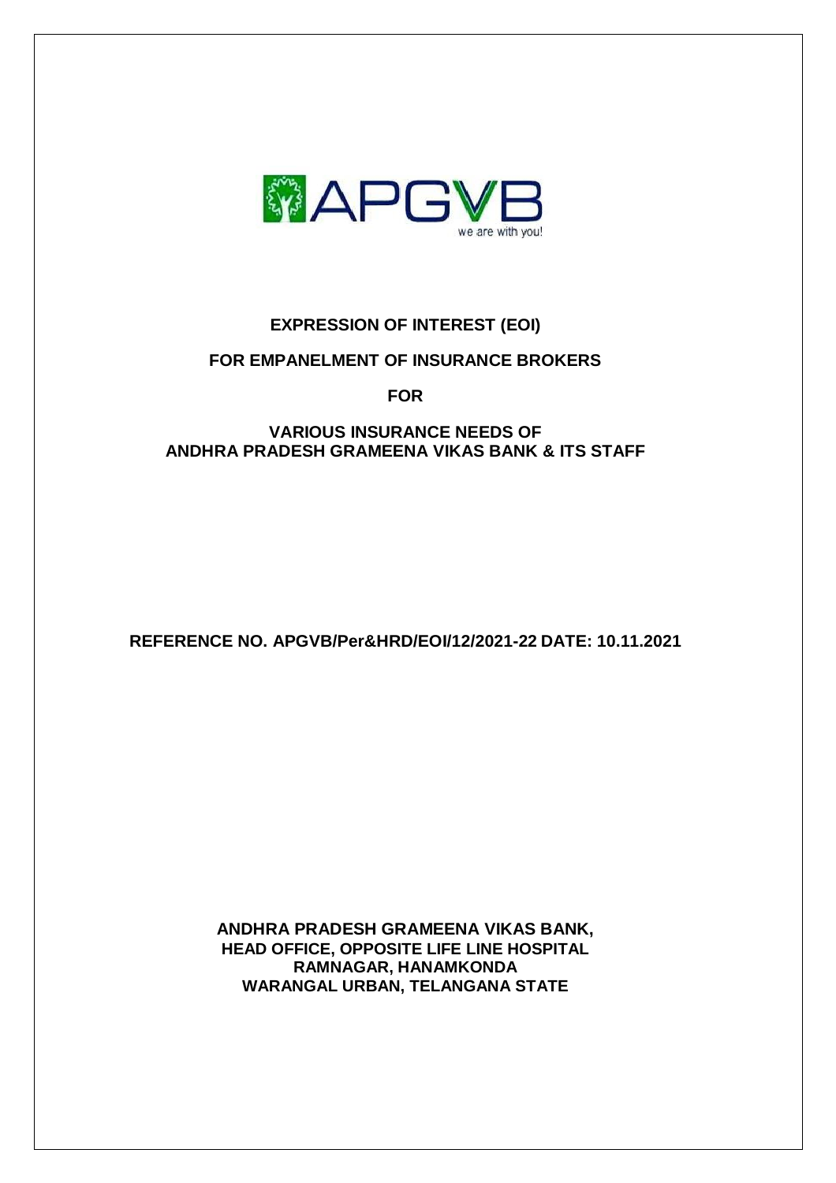

# **EXPRESSION OF INTEREST (EOI)**

### **FOR EMPANELMENT OF INSURANCE BROKERS**

**FOR**

### **VARIOUS INSURANCE NEEDS OF ANDHRA PRADESH GRAMEENA VIKAS BANK & ITS STAFF**

**REFERENCE NO. APGVB/Per&HRD/EOI/12/2021-22 DATE: 10.11.2021**

**ANDHRA PRADESH GRAMEENA VIKAS BANK, HEAD OFFICE, OPPOSITE LIFE LINE HOSPITAL RAMNAGAR, HANAMKONDA WARANGAL URBAN, TELANGANA STATE**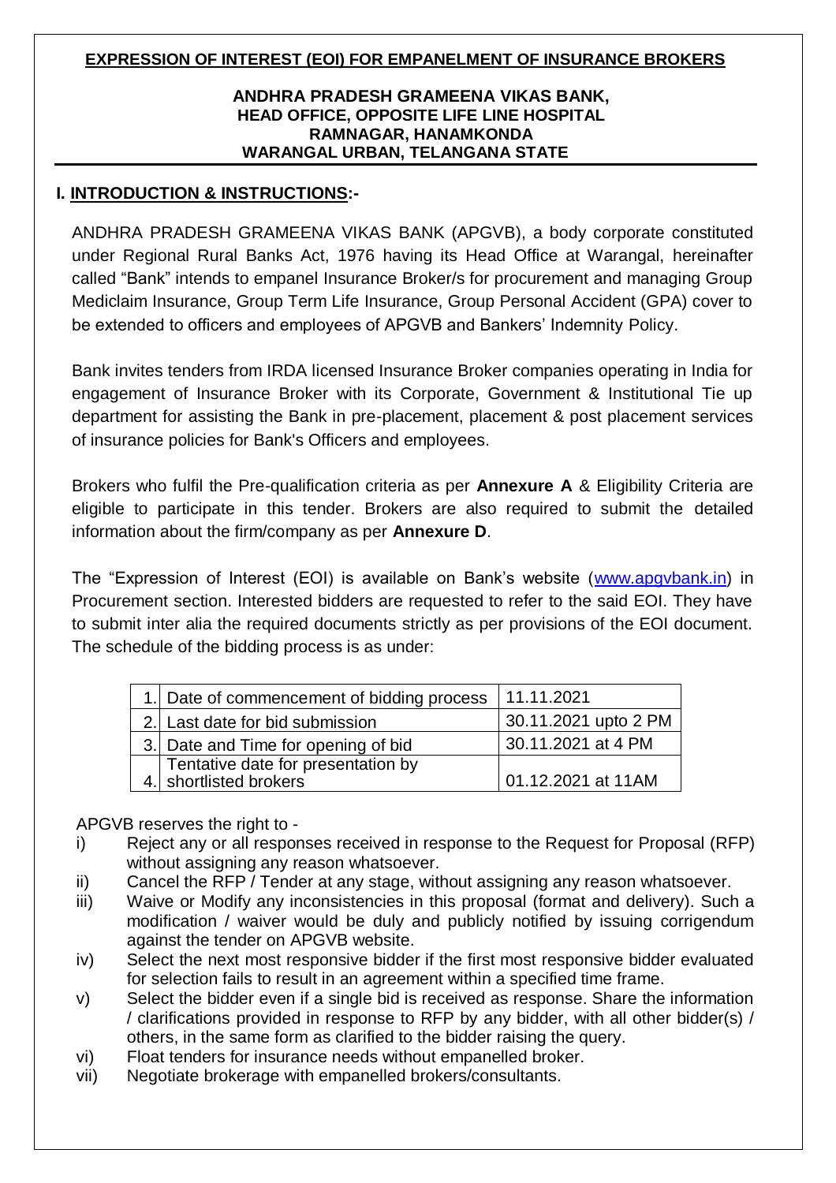### **EXPRESSION OF INTEREST (EOI) FOR EMPANELMENT OF INSURANCE BROKERS**

### **ANDHRA PRADESH GRAMEENA VIKAS BANK, HEAD OFFICE, OPPOSITE LIFE LINE HOSPITAL RAMNAGAR, HANAMKONDA WARANGAL URBAN, TELANGANA STATE**

### **I. INTRODUCTION & INSTRUCTIONS:-**

ANDHRA PRADESH GRAMEENA VIKAS BANK (APGVB), a body corporate constituted under Regional Rural Banks Act, 1976 having its Head Office at Warangal, hereinafter called "Bank" intends to empanel Insurance Broker/s for procurement and managing Group Mediclaim Insurance, Group Term Life Insurance, Group Personal Accident (GPA) cover to be extended to officers and employees of APGVB and Bankers' Indemnity Policy.

Bank invites tenders from IRDA licensed Insurance Broker companies operating in India for engagement of Insurance Broker with its Corporate, Government & Institutional Tie up department for assisting the Bank in pre-placement, placement & post placement services of insurance policies for Bank's Officers and employees.

Brokers who fulfil the Pre-qualification criteria as per **Annexure A** & Eligibility Criteria are eligible to participate in this tender. Brokers are also required to submit the detailed information about the firm/company as per **Annexure D**.

The "Expression of Interest (EOI) is available on Bank's website [\(www.apgvbank.in\)](http://www.apgvbank.in/) in Procurement section. Interested bidders are requested to refer to the said EOI. They have to submit inter alia the required documents strictly as per provisions of the EOI document. The schedule of the bidding process is as under:

| 1. Date of commencement of bidding process                   | 11.11.2021           |
|--------------------------------------------------------------|----------------------|
| 2. Last date for bid submission                              | 30.11.2021 upto 2 PM |
| 3. Date and Time for opening of bid                          | 30.11.2021 at 4 PM   |
| Tentative date for presentation by<br>4. shortlisted brokers | 01.12.2021 at 11AM   |

APGVB reserves the right to -

- i) Reject any or all responses received in response to the Request for Proposal (RFP) without assigning any reason whatsoever.
- ii) Cancel the RFP / Tender at any stage, without assigning any reason whatsoever.
- iii) Waive or Modify any inconsistencies in this proposal (format and delivery). Such a modification / waiver would be duly and publicly notified by issuing corrigendum against the tender on APGVB website.
- iv) Select the next most responsive bidder if the first most responsive bidder evaluated for selection fails to result in an agreement within a specified time frame.
- v) Select the bidder even if a single bid is received as response. Share the information / clarifications provided in response to RFP by any bidder, with all other bidder(s) / others, in the same form as clarified to the bidder raising the query.
- vi) Float tenders for insurance needs without empanelled broker.
- vii) Negotiate brokerage with empanelled brokers/consultants.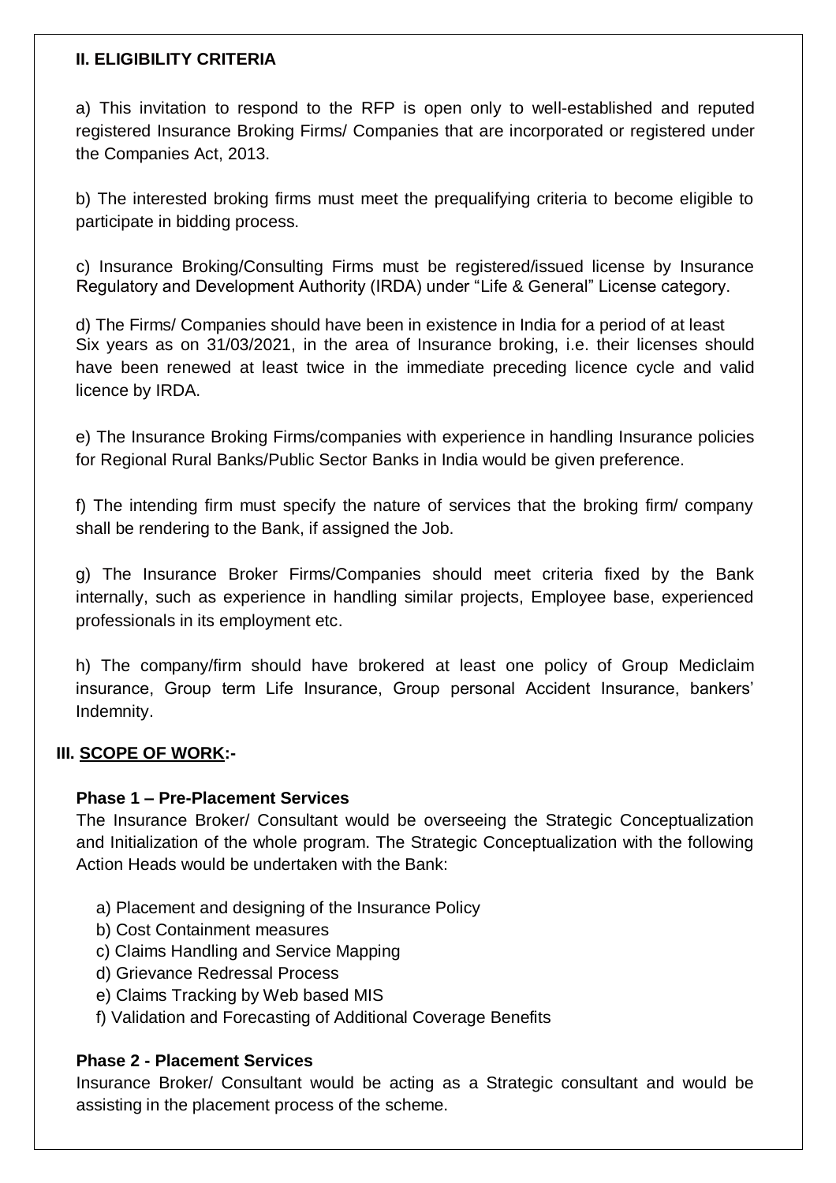### **II. ELIGIBILITY CRITERIA**

a) This invitation to respond to the RFP is open only to well-established and reputed registered Insurance Broking Firms/ Companies that are incorporated or registered under the Companies Act, 2013.

b) The interested broking firms must meet the prequalifying criteria to become eligible to participate in bidding process.

c) Insurance Broking/Consulting Firms must be registered/issued license by Insurance Regulatory and Development Authority (IRDA) under "Life & General" License category.

d) The Firms/ Companies should have been in existence in India for a period of at least Six years as on 31/03/2021, in the area of Insurance broking, i.e. their licenses should have been renewed at least twice in the immediate preceding licence cycle and valid licence by IRDA.

e) The Insurance Broking Firms/companies with experience in handling Insurance policies for Regional Rural Banks/Public Sector Banks in India would be given preference.

f) The intending firm must specify the nature of services that the broking firm/ company shall be rendering to the Bank, if assigned the Job.

g) The Insurance Broker Firms/Companies should meet criteria fixed by the Bank internally, such as experience in handling similar projects, Employee base, experienced professionals in its employment etc.

h) The company/firm should have brokered at least one policy of Group Mediclaim insurance, Group term Life Insurance, Group personal Accident Insurance, bankers' Indemnity.

## **III. SCOPE OF WORK:-**

## **Phase 1 – Pre-Placement Services**

The Insurance Broker/ Consultant would be overseeing the Strategic Conceptualization and Initialization of the whole program. The Strategic Conceptualization with the following Action Heads would be undertaken with the Bank:

- a) Placement and designing of the Insurance Policy
- b) Cost Containment measures
- c) Claims Handling and Service Mapping
- d) Grievance Redressal Process
- e) Claims Tracking by Web based MIS
- f) Validation and Forecasting of Additional Coverage Benefits

### **Phase 2 - Placement Services**

Insurance Broker/ Consultant would be acting as a Strategic consultant and would be assisting in the placement process of the scheme.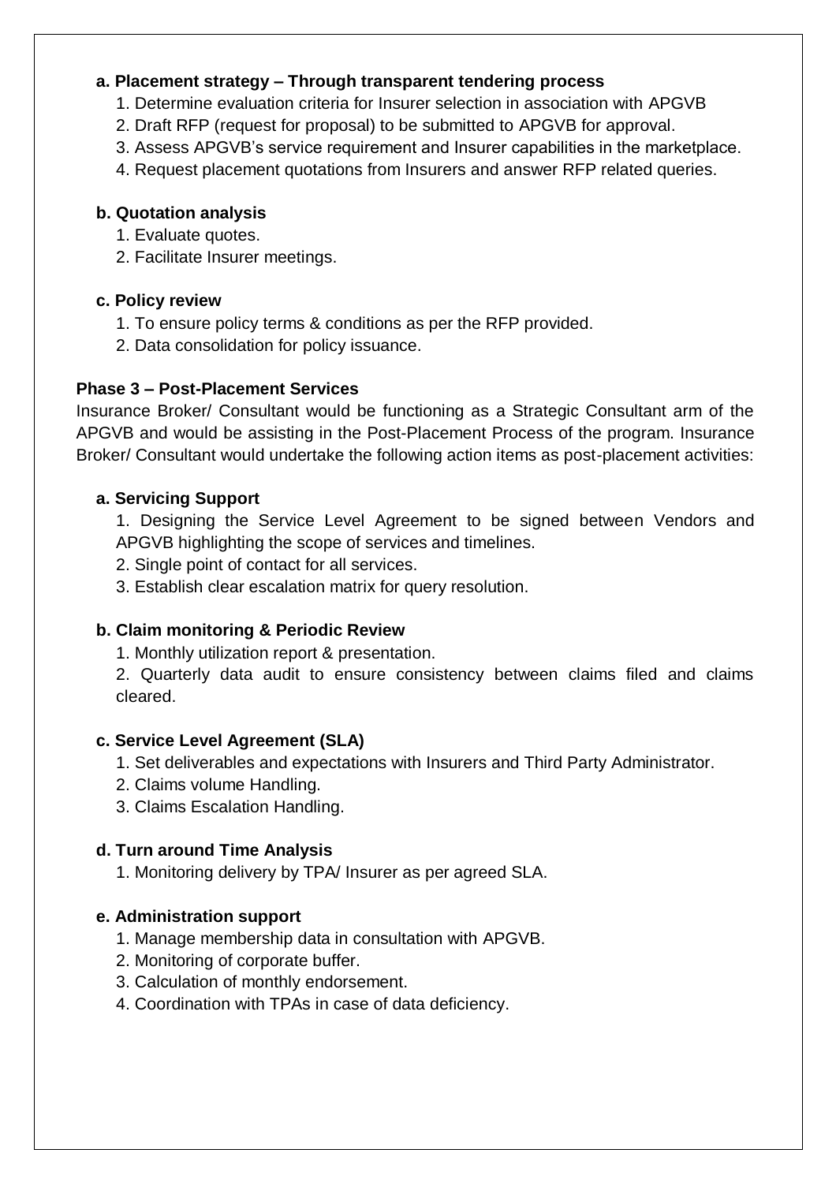## **a. Placement strategy – Through transparent tendering process**

- 1. Determine evaluation criteria for Insurer selection in association with APGVB
- 2. Draft RFP (request for proposal) to be submitted to APGVB for approval.
- 3. Assess APGVB's service requirement and Insurer capabilities in the marketplace.
- 4. Request placement quotations from Insurers and answer RFP related queries.

## **b. Quotation analysis**

- 1. Evaluate quotes.
- 2. Facilitate Insurer meetings.

## **c. Policy review**

- 1. To ensure policy terms & conditions as per the RFP provided.
- 2. Data consolidation for policy issuance.

# **Phase 3 – Post-Placement Services**

Insurance Broker/ Consultant would be functioning as a Strategic Consultant arm of the APGVB and would be assisting in the Post-Placement Process of the program. Insurance Broker/ Consultant would undertake the following action items as post-placement activities:

## **a. Servicing Support**

1. Designing the Service Level Agreement to be signed between Vendors and APGVB highlighting the scope of services and timelines.

- 2. Single point of contact for all services.
- 3. Establish clear escalation matrix for query resolution.

# **b. Claim monitoring & Periodic Review**

1. Monthly utilization report & presentation.

2. Quarterly data audit to ensure consistency between claims filed and claims cleared.

## **c. Service Level Agreement (SLA)**

- 1. Set deliverables and expectations with Insurers and Third Party Administrator.
- 2. Claims volume Handling.
- 3. Claims Escalation Handling.

# **d. Turn around Time Analysis**

1. Monitoring delivery by TPA/ Insurer as per agreed SLA.

# **e. Administration support**

- 1. Manage membership data in consultation with APGVB.
- 2. Monitoring of corporate buffer.
- 3. Calculation of monthly endorsement.
- 4. Coordination with TPAs in case of data deficiency.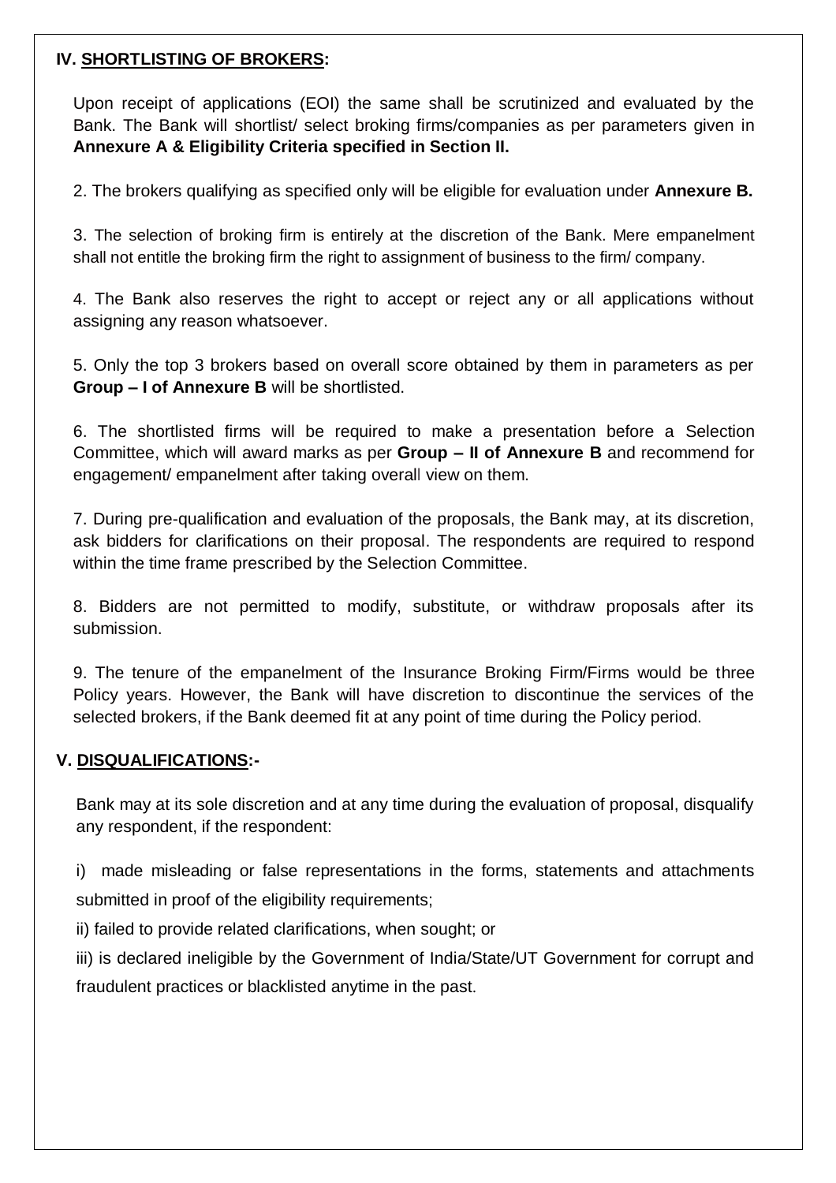### **IV. SHORTLISTING OF BROKERS:**

Upon receipt of applications (EOI) the same shall be scrutinized and evaluated by the Bank. The Bank will shortlist/ select broking firms/companies as per parameters given in **Annexure A & Eligibility Criteria specified in Section II.**

2. The brokers qualifying as specified only will be eligible for evaluation under **Annexure B.**

3. The selection of broking firm is entirely at the discretion of the Bank. Mere empanelment shall not entitle the broking firm the right to assignment of business to the firm/ company.

4. The Bank also reserves the right to accept or reject any or all applications without assigning any reason whatsoever.

5. Only the top 3 brokers based on overall score obtained by them in parameters as per **Group – I of Annexure B** will be shortlisted.

6. The shortlisted firms will be required to make a presentation before a Selection Committee, which will award marks as per **Group – II of Annexure B** and recommend for engagement/ empanelment after taking overall view on them.

7. During pre-qualification and evaluation of the proposals, the Bank may, at its discretion, ask bidders for clarifications on their proposal. The respondents are required to respond within the time frame prescribed by the Selection Committee.

8. Bidders are not permitted to modify, substitute, or withdraw proposals after its submission.

9. The tenure of the empanelment of the Insurance Broking Firm/Firms would be three Policy years. However, the Bank will have discretion to discontinue the services of the selected brokers, if the Bank deemed fit at any point of time during the Policy period.

## **V. DISQUALIFICATIONS:-**

Bank may at its sole discretion and at any time during the evaluation of proposal, disqualify any respondent, if the respondent:

i) made misleading or false representations in the forms, statements and attachments submitted in proof of the eligibility requirements;

ii) failed to provide related clarifications, when sought; or

iii) is declared ineligible by the Government of India/State/UT Government for corrupt and fraudulent practices or blacklisted anytime in the past.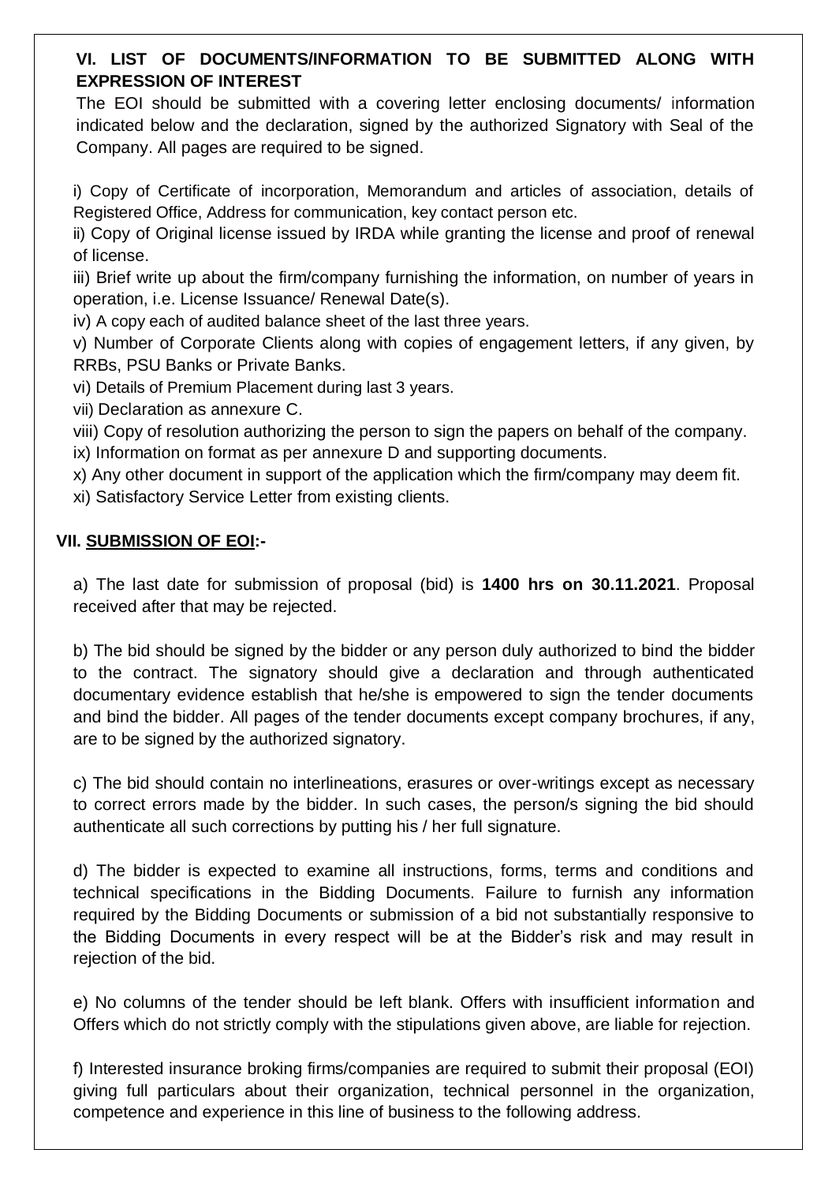# **VI. LIST OF DOCUMENTS/INFORMATION TO BE SUBMITTED ALONG WITH EXPRESSION OF INTEREST**

The EOI should be submitted with a covering letter enclosing documents/ information indicated below and the declaration, signed by the authorized Signatory with Seal of the Company. All pages are required to be signed.

i) Copy of Certificate of incorporation, Memorandum and articles of association, details of Registered Office, Address for communication, key contact person etc.

ii) Copy of Original license issued by IRDA while granting the license and proof of renewal of license.

iii) Brief write up about the firm/company furnishing the information, on number of years in operation, i.e. License Issuance/ Renewal Date(s).

iv) A copy each of audited balance sheet of the last three years.

v) Number of Corporate Clients along with copies of engagement letters, if any given, by RRBs, PSU Banks or Private Banks.

vi) Details of Premium Placement during last 3 years.

vii) Declaration as annexure C.

viii) Copy of resolution authorizing the person to sign the papers on behalf of the company.

ix) Information on format as per annexure D and supporting documents.

x) Any other document in support of the application which the firm/company may deem fit.

xi) Satisfactory Service Letter from existing clients.

## **VII. SUBMISSION OF EOI:-**

a) The last date for submission of proposal (bid) is **1400 hrs on 30.11.2021**. Proposal received after that may be rejected.

b) The bid should be signed by the bidder or any person duly authorized to bind the bidder to the contract. The signatory should give a declaration and through authenticated documentary evidence establish that he/she is empowered to sign the tender documents and bind the bidder. All pages of the tender documents except company brochures, if any, are to be signed by the authorized signatory.

c) The bid should contain no interlineations, erasures or over-writings except as necessary to correct errors made by the bidder. In such cases, the person/s signing the bid should authenticate all such corrections by putting his / her full signature.

d) The bidder is expected to examine all instructions, forms, terms and conditions and technical specifications in the Bidding Documents. Failure to furnish any information required by the Bidding Documents or submission of a bid not substantially responsive to the Bidding Documents in every respect will be at the Bidder's risk and may result in rejection of the bid.

e) No columns of the tender should be left blank. Offers with insufficient information and Offers which do not strictly comply with the stipulations given above, are liable for rejection.

f) Interested insurance broking firms/companies are required to submit their proposal (EOI) giving full particulars about their organization, technical personnel in the organization, competence and experience in this line of business to the following address.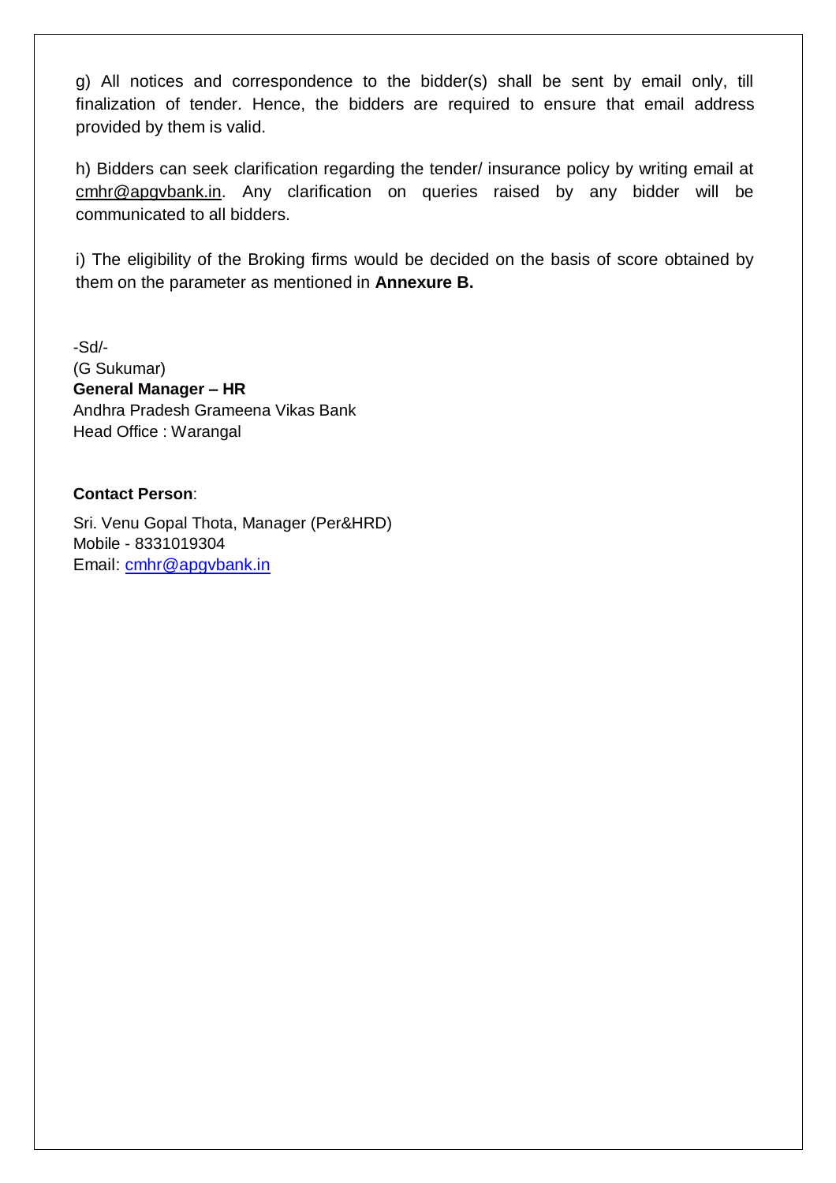g) All notices and correspondence to the bidder(s) shall be sent by email only, till finalization of tender. Hence, the bidders are required to ensure that email address provided by them is valid.

h) Bidders can seek clarification regarding the tender/ insurance policy by writing email at cmhr@apgvbank.in. Any clarification on queries raised by any bidder will be communicated to all bidders.

i) The eligibility of the Broking firms would be decided on the basis of score obtained by them on the parameter as mentioned in **Annexure B.**

-Sd/- (G Sukumar) **General Manager – HR** Andhra Pradesh Grameena Vikas Bank Head Office : Warangal

#### **Contact Person**:

Sri. Venu Gopal Thota, Manager (Per&HRD) Mobile - 8331019304 Email: [cmhr@apgvbank.in](mailto:cmhr@apgvbank.in)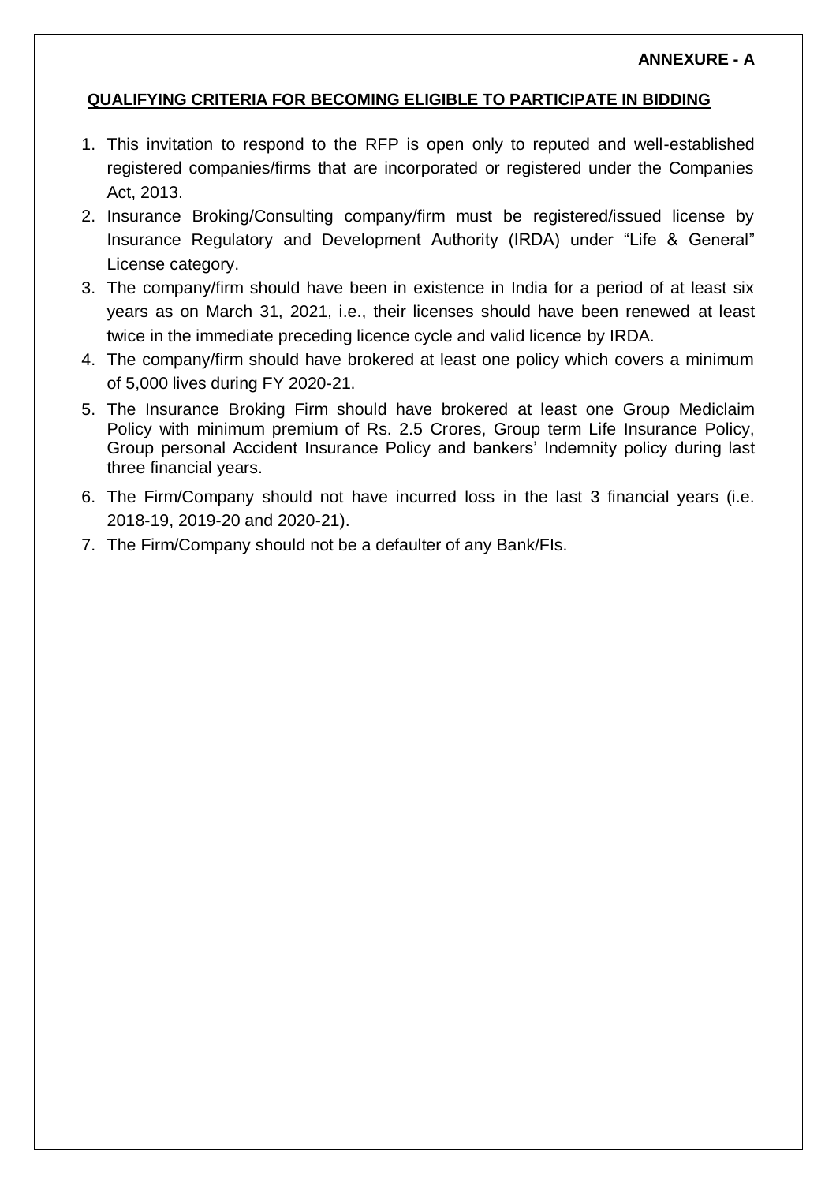### **ANNEXURE - A**

### **QUALIFYING CRITERIA FOR BECOMING ELIGIBLE TO PARTICIPATE IN BIDDING**

- 1. This invitation to respond to the RFP is open only to reputed and well-established registered companies/firms that are incorporated or registered under the Companies Act, 2013.
- 2. Insurance Broking/Consulting company/firm must be registered/issued license by Insurance Regulatory and Development Authority (IRDA) under "Life & General" License category.
- 3. The company/firm should have been in existence in India for a period of at least six years as on March 31, 2021, i.e., their licenses should have been renewed at least twice in the immediate preceding licence cycle and valid licence by IRDA.
- 4. The company/firm should have brokered at least one policy which covers a minimum of 5,000 lives during FY 2020-21.
- 5. The Insurance Broking Firm should have brokered at least one Group Mediclaim Policy with minimum premium of Rs. 2.5 Crores, Group term Life Insurance Policy, Group personal Accident Insurance Policy and bankers' Indemnity policy during last three financial years.
- 6. The Firm/Company should not have incurred loss in the last 3 financial years (i.e. 2018-19, 2019-20 and 2020-21).
- 7. The Firm/Company should not be a defaulter of any Bank/FIs.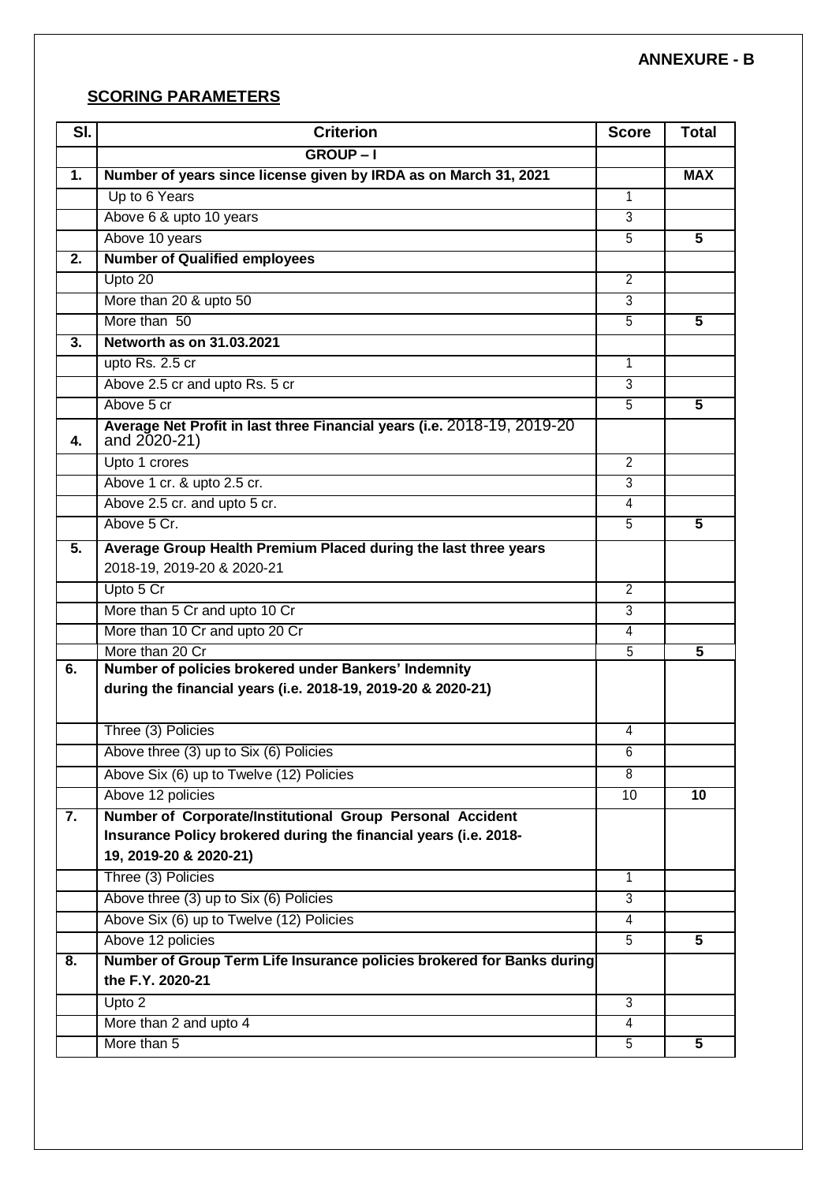### **SCORING PARAMETERS**

| SI. | <b>Criterion</b>                                                                                                     | <b>Score</b>   | <b>Total</b>            |
|-----|----------------------------------------------------------------------------------------------------------------------|----------------|-------------------------|
|     | <b>GROUP-I</b>                                                                                                       |                |                         |
| 1.  | Number of years since license given by IRDA as on March 31, 2021                                                     |                | <b>MAX</b>              |
|     | Up to 6 Years                                                                                                        | 1              |                         |
|     | Above 6 & upto 10 years                                                                                              | 3              |                         |
|     | Above 10 years                                                                                                       | $\overline{5}$ | 5                       |
| 2.  | <b>Number of Qualified employees</b>                                                                                 |                |                         |
|     | Upto 20                                                                                                              | $\overline{2}$ |                         |
|     | More than 20 & upto 50                                                                                               | $\overline{3}$ |                         |
|     | More than 50                                                                                                         | $\overline{5}$ | 5                       |
| 3.  | Networth as on 31.03.2021                                                                                            |                |                         |
|     | upto Rs. 2.5 cr                                                                                                      | 1              |                         |
|     | Above 2.5 cr and upto Rs. 5 cr                                                                                       | $\overline{3}$ |                         |
|     | Above 5 cr                                                                                                           | 5              | 5                       |
| 4.  | Average Net Profit in last three Financial years (i.e. 2018-19, 2019-20<br>and 2020-21)                              |                |                         |
|     | Upto 1 crores                                                                                                        | $\overline{2}$ |                         |
|     | Above 1 cr. & upto 2.5 cr.                                                                                           | $\overline{3}$ |                         |
|     | Above 2.5 cr. and upto 5 cr.                                                                                         | 4              |                         |
|     | Above 5 Cr.                                                                                                          | $\overline{5}$ | 5                       |
| 5.  | Average Group Health Premium Placed during the last three years<br>2018-19, 2019-20 & 2020-21                        |                |                         |
|     | Upto 5 Cr                                                                                                            | $\overline{2}$ |                         |
|     | More than 5 Cr and upto 10 Cr                                                                                        | $\overline{3}$ |                         |
|     | More than 10 Cr and upto 20 Cr                                                                                       | 4              |                         |
|     | More than 20 Cr                                                                                                      | $\overline{5}$ | 5                       |
| 6.  | Number of policies brokered under Bankers' Indemnity<br>during the financial years (i.e. 2018-19, 2019-20 & 2020-21) |                |                         |
|     | Three (3) Policies                                                                                                   | 4              |                         |
|     | Above three (3) up to Six (6) Policies                                                                               | 6              |                         |
|     | Above Six (6) up to Twelve (12) Policies                                                                             | 8              |                         |
|     | Above 12 policies                                                                                                    | 10             | 10                      |
| 7.  | Number of Corporate/Institutional Group Personal Accident                                                            |                |                         |
|     | Insurance Policy brokered during the financial years (i.e. 2018-                                                     |                |                         |
|     | 19, 2019-20 & 2020-21)                                                                                               |                |                         |
|     | Three (3) Policies                                                                                                   | $\mathbf{1}$   |                         |
|     | Above three (3) up to Six (6) Policies                                                                               | $\overline{3}$ |                         |
|     | Above Six (6) up to Twelve (12) Policies                                                                             | 4              |                         |
|     | Above 12 policies                                                                                                    | $\overline{5}$ | $\overline{\mathbf{5}}$ |
| 8.  | Number of Group Term Life Insurance policies brokered for Banks during<br>the F.Y. 2020-21                           |                |                         |
|     | Upto 2                                                                                                               | 3              |                         |
|     | More than 2 and upto 4                                                                                               | 4              |                         |
|     | More than 5                                                                                                          | $\overline{5}$ | 5                       |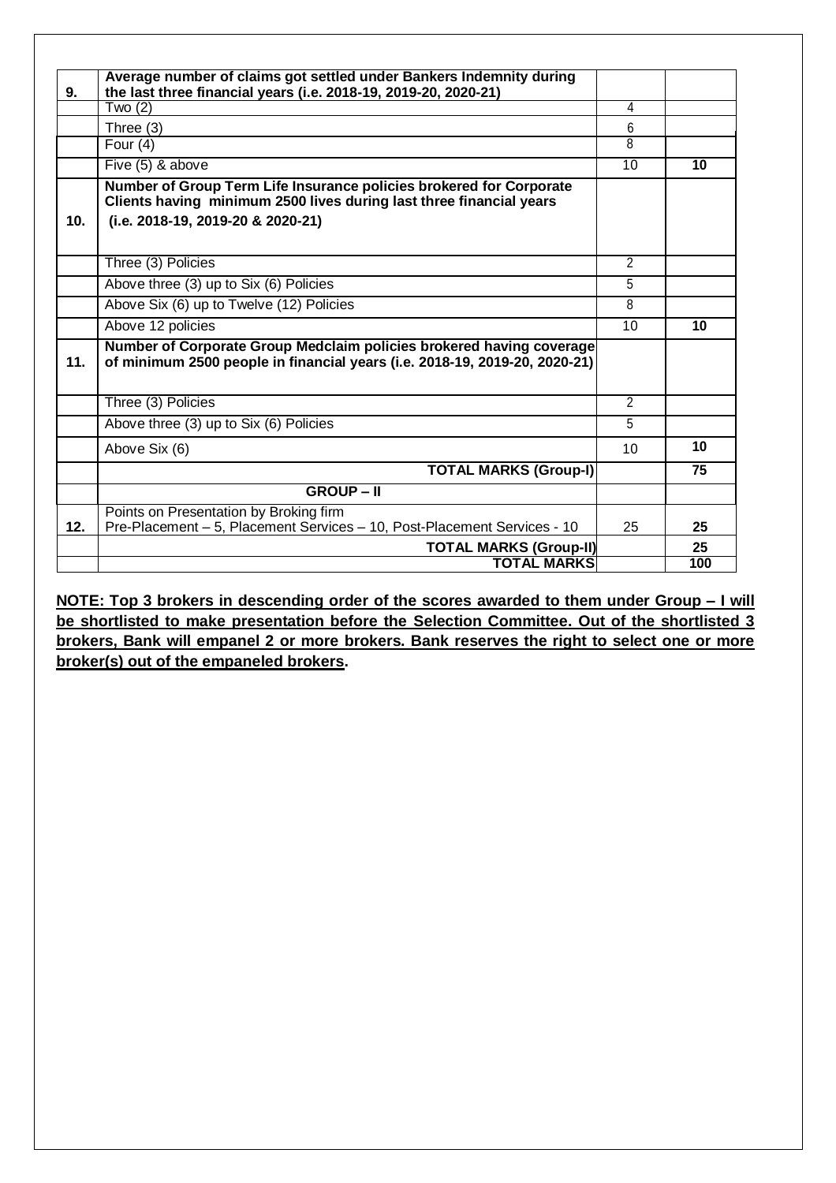| 9.              | Average number of claims got settled under Bankers Indemnity during<br>the last three financial years (i.e. 2018-19, 2019-20, 2020-21)     |                |     |
|-----------------|--------------------------------------------------------------------------------------------------------------------------------------------|----------------|-----|
|                 | Two $(2)$                                                                                                                                  | 4              |     |
|                 | Three (3)                                                                                                                                  | 6              |     |
|                 | Four $(4)$                                                                                                                                 | 8              |     |
|                 | Five (5) & above                                                                                                                           | 10             | 10  |
|                 | Number of Group Term Life Insurance policies brokered for Corporate<br>Clients having minimum 2500 lives during last three financial years |                |     |
| 10 <sub>1</sub> | (i.e. 2018-19, 2019-20 & 2020-21)                                                                                                          |                |     |
|                 |                                                                                                                                            |                |     |
|                 | Three (3) Policies                                                                                                                         | $\overline{2}$ |     |
|                 | Above three (3) up to Six (6) Policies                                                                                                     | $\overline{5}$ |     |
|                 | Above Six (6) up to Twelve (12) Policies                                                                                                   | $\overline{8}$ |     |
|                 | Above 12 policies                                                                                                                          | 10             | 10  |
|                 | Number of Corporate Group Medclaim policies brokered having coverage                                                                       |                |     |
| 11.             | of minimum 2500 people in financial years (i.e. 2018-19, 2019-20, 2020-21)                                                                 |                |     |
|                 |                                                                                                                                            |                |     |
|                 | Three (3) Policies                                                                                                                         | $\overline{2}$ |     |
|                 | Above three (3) up to Six (6) Policies                                                                                                     | $\overline{5}$ |     |
|                 | Above Six (6)                                                                                                                              | 10             | 10  |
|                 | <b>TOTAL MARKS (Group-I)</b>                                                                                                               |                | 75  |
|                 | <b>GROUP-II</b>                                                                                                                            |                |     |
|                 | Points on Presentation by Broking firm                                                                                                     |                |     |
| 12.             | Pre-Placement - 5, Placement Services - 10, Post-Placement Services - 10                                                                   | 25             | 25  |
|                 | <b>TOTAL MARKS (Group-II)</b>                                                                                                              |                | 25  |
|                 | <b>TOTAL MARKS</b>                                                                                                                         |                | 100 |

**NOTE: Top 3 brokers in descending order of the scores awarded to them under Group – I will be shortlisted to make presentation before the Selection Committee. Out of the shortlisted 3 brokers, Bank will empanel 2 or more brokers. Bank reserves the right to select one or more broker(s) out of the empaneled brokers.**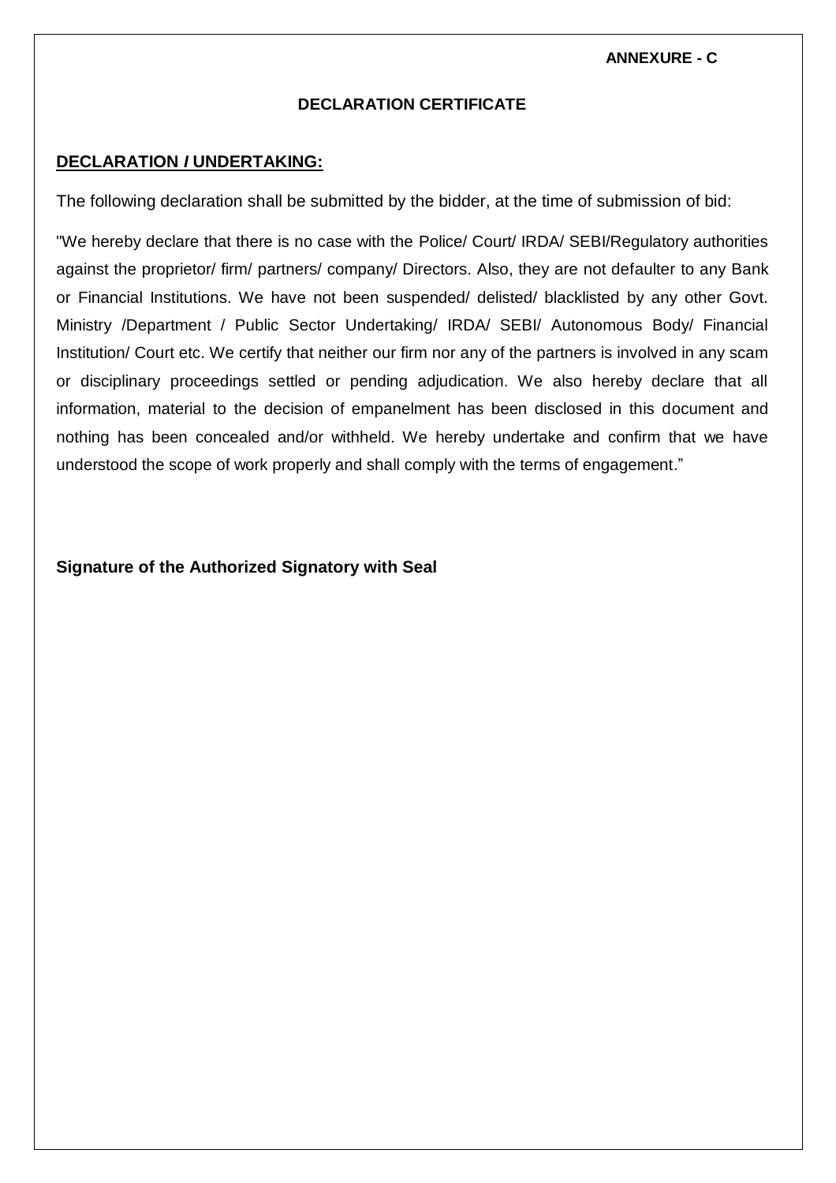**ANNEXURE - C**

#### **DECLARATION CERTIFICATE**

#### **DECLARATION** *I* **UNDERTAKING:**

The following declaration shall be submitted by the bidder, at the time of submission of bid:

"We hereby declare that there is no case with the Police/ Court/ IRDA/ SEBI/Regulatory authorities against the proprietor/ firm/ partners/ company/ Directors. Also, they are not defaulter to any Bank or Financial Institutions. We have not been suspended/ delisted/ blacklisted by any other Govt. Ministry /Department / Public Sector Undertaking/ IRDA/ SEBI/ Autonomous Body/ Financial Institution/ Court etc. We certify that neither our firm nor any of the partners is involved in any scam or disciplinary proceedings settled or pending adjudication. We also hereby declare that all information, material to the decision of empanelment has been disclosed in this document and nothing has been concealed and/or withheld. We hereby undertake and confirm that we have understood the scope of work properly and shall comply with the terms of engagement."

#### **Signature of the Authorized Signatory with Seal**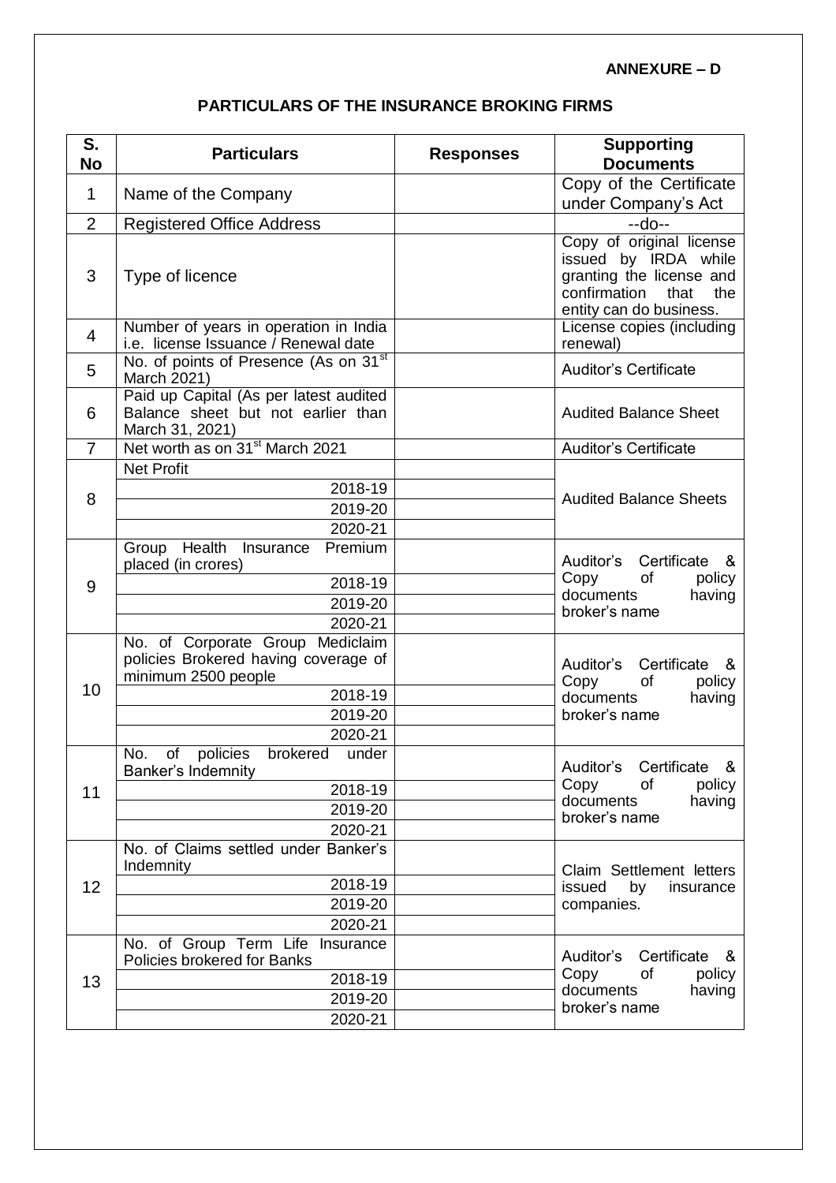#### **ANNEXURE – D**

# **PARTICULARS OF THE INSURANCE BROKING FIRMS**

| S.<br><b>No</b> | <b>Particulars</b>                                                                              | <b>Responses</b> | <b>Supporting</b><br><b>Documents</b>                                                                                                  |  |
|-----------------|-------------------------------------------------------------------------------------------------|------------------|----------------------------------------------------------------------------------------------------------------------------------------|--|
|                 |                                                                                                 |                  | Copy of the Certificate                                                                                                                |  |
| $\mathbf 1$     | Name of the Company                                                                             |                  | under Company's Act                                                                                                                    |  |
| $\overline{2}$  | <b>Registered Office Address</b>                                                                |                  | $-do-$                                                                                                                                 |  |
| 3               | Type of licence                                                                                 |                  | Copy of original license<br>issued by IRDA while<br>granting the license and<br>confirmation<br>that<br>the<br>entity can do business. |  |
| 4               | Number of years in operation in India<br>i.e. license Issuance / Renewal date                   |                  | License copies (including<br>renewal)                                                                                                  |  |
| 5               | No. of points of Presence (As on 31 <sup>st</sup><br>March 2021)                                |                  | <b>Auditor's Certificate</b>                                                                                                           |  |
| 6               | Paid up Capital (As per latest audited<br>Balance sheet but not earlier than<br>March 31, 2021) |                  | <b>Audited Balance Sheet</b>                                                                                                           |  |
| $\overline{7}$  | Net worth as on 31 <sup>st</sup> March 2021                                                     |                  | <b>Auditor's Certificate</b>                                                                                                           |  |
|                 | <b>Net Profit</b>                                                                               |                  |                                                                                                                                        |  |
| 8               | 2018-19                                                                                         |                  | <b>Audited Balance Sheets</b>                                                                                                          |  |
|                 | 2019-20                                                                                         |                  |                                                                                                                                        |  |
|                 | 2020-21                                                                                         |                  |                                                                                                                                        |  |
|                 | Group Health<br>Premium<br>Insurance<br>placed (in crores)                                      |                  | Auditor's Certificate<br>&<br>Copy<br>of<br>policy                                                                                     |  |
| 9               | 2018-19                                                                                         |                  | documents<br>having                                                                                                                    |  |
|                 | 2019-20<br>2020-21                                                                              |                  | broker's name                                                                                                                          |  |
|                 | No. of Corporate Group Mediclaim                                                                |                  |                                                                                                                                        |  |
|                 | policies Brokered having coverage of<br>minimum 2500 people                                     |                  | Auditor's<br>Certificate<br>&<br>Copy<br>of<br>policy<br>documents<br>having<br>broker's name                                          |  |
| 10              | 2018-19                                                                                         |                  |                                                                                                                                        |  |
|                 | 2019-20                                                                                         |                  |                                                                                                                                        |  |
|                 | 2020-21                                                                                         |                  |                                                                                                                                        |  |
|                 | No.<br>of<br>policies<br>brokered<br>under<br>Banker's Indemnity                                |                  | Auditor's Certificate &<br>Copy<br>of<br>policy<br>documents<br>having<br>broker's name                                                |  |
| 11              | 2018-19                                                                                         |                  |                                                                                                                                        |  |
|                 | 2019-20                                                                                         |                  |                                                                                                                                        |  |
|                 | 2020-21                                                                                         |                  |                                                                                                                                        |  |
|                 | No. of Claims settled under Banker's<br>Indemnity                                               |                  | Claim Settlement letters<br>issued<br>by<br>insurance<br>companies.                                                                    |  |
| 12              | 2018-19                                                                                         |                  |                                                                                                                                        |  |
|                 | 2019-20                                                                                         |                  |                                                                                                                                        |  |
|                 | 2020-21                                                                                         |                  |                                                                                                                                        |  |
|                 | No. of Group Term Life Insurance<br>Policies brokered for Banks                                 |                  | Certificate<br>Auditor's<br>- &<br>Copy<br>of<br>policy<br>documents<br>having<br>broker's name                                        |  |
| 13              | 2018-19                                                                                         |                  |                                                                                                                                        |  |
|                 | 2019-20                                                                                         |                  |                                                                                                                                        |  |
|                 | 2020-21                                                                                         |                  |                                                                                                                                        |  |